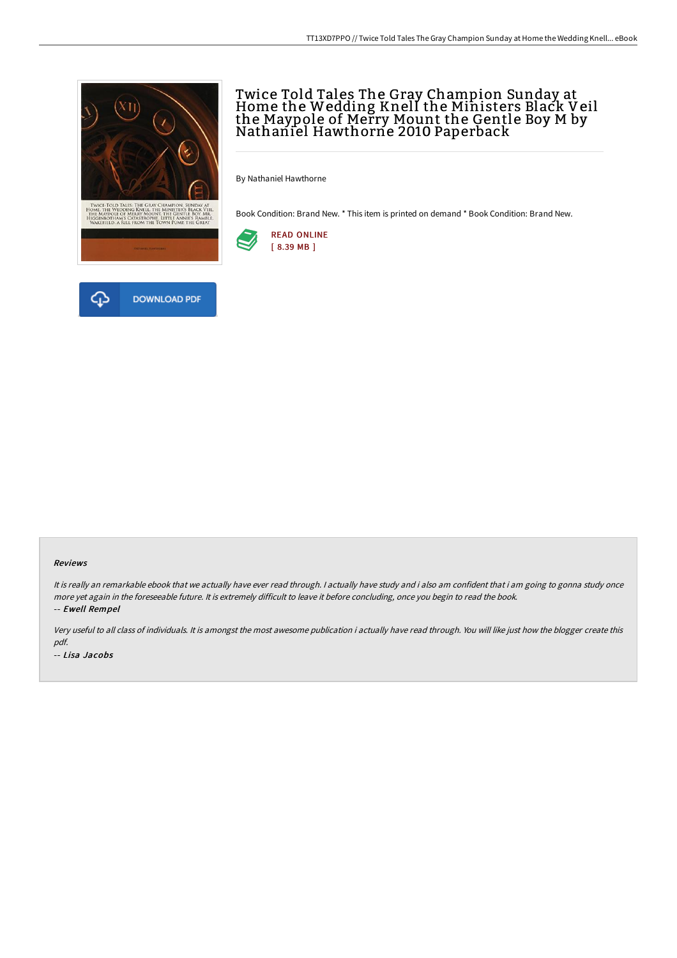

# Twice Told Tales The Gray Champion Sunday at Home the Wedding Knell the Ministers Black Veil the Maypole of Merry Mount the Gentle Boy M by<br>Nathaniel Hawthorne 2010 Paperback

By Nathaniel Hawthorne

Book Condition: Brand New. \* This item is printed on demand \* Book Condition: Brand New.



#### Reviews

It is really an remarkable ebook that we actually have ever read through. <sup>I</sup> actually have study and i also am confident that i am going to gonna study once more yet again in the foreseeable future. It is extremely difficult to leave it before concluding, once you begin to read the book. -- Ewell Rempel

Very useful to all class of individuals. It is amongst the most awesome publication i actually have read through. You will like just how the blogger create this pdf. -- Lisa Jacobs